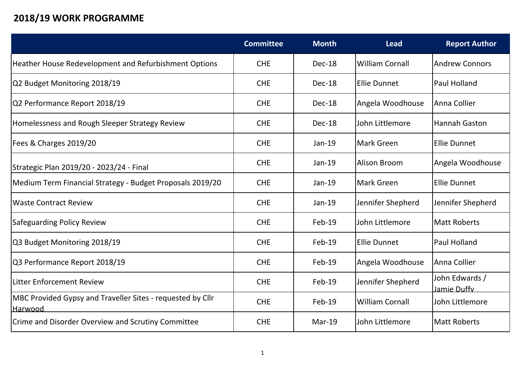## **2018/19 WORK PROGRAMME**

|                                                                               | <b>Committee</b> | <b>Month</b> | <b>Lead</b>            | <b>Report Author</b>          |
|-------------------------------------------------------------------------------|------------------|--------------|------------------------|-------------------------------|
| Heather House Redevelopment and Refurbishment Options                         | <b>CHE</b>       | Dec-18       | William Cornall        | Andrew Connors                |
| Q2 Budget Monitoring 2018/19                                                  | <b>CHE</b>       | Dec-18       | <b>IEllie Dunnet</b>   | Paul Holland                  |
| Q2 Performance Report 2018/19                                                 | <b>CHE</b>       | Dec-18       | Angela Woodhouse       | Anna Collier                  |
| Homelessness and Rough Sleeper Strategy Review                                | <b>CHE</b>       | Dec-18       | lJohn Littlemore       | <b>Hannah Gaston</b>          |
| Fees & Charges 2019/20                                                        | <b>CHE</b>       | Jan-19       | Mark Green             | <b>Ellie Dunnet</b>           |
| Strategic Plan 2019/20 - 2023/24 - Final                                      | <b>CHE</b>       | Jan-19       | Alison Broom           | Angela Woodhouse              |
| Medium Term Financial Strategy - Budget Proposals 2019/20                     | <b>CHE</b>       | Jan-19       | Mark Green             | <b>Ellie Dunnet</b>           |
| <b>Waste Contract Review</b>                                                  | <b>CHE</b>       | Jan-19       | Jennifer Shepherd      | Jennifer Shepherd             |
| <b>Safeguarding Policy Review</b>                                             | <b>CHE</b>       | $Feb-19$     | lJohn Littlemore       | <b>Matt Roberts</b>           |
| Q3 Budget Monitoring 2018/19                                                  | <b>CHE</b>       | Feb-19       | <b>Ellie Dunnet</b>    | Paul Holland                  |
| Q3 Performance Report 2018/19                                                 | <b>CHE</b>       | Feb-19       | Angela Woodhouse       | Anna Collier                  |
| Litter Enforcement Review                                                     | <b>CHE</b>       | Feb-19       | Jennifer Shepherd      | John Edwards /<br>Jamie Duffy |
| MBC Provided Gypsy and Traveller Sites - requested by Cllr<br><u> Harwood</u> | <b>CHE</b>       | Feb-19       | <b>William Cornall</b> | John Littlemore               |
| Crime and Disorder Overview and Scrutiny Committee                            | <b>CHE</b>       | $Mar-19$     | lJohn Littlemore       | Matt Roberts                  |